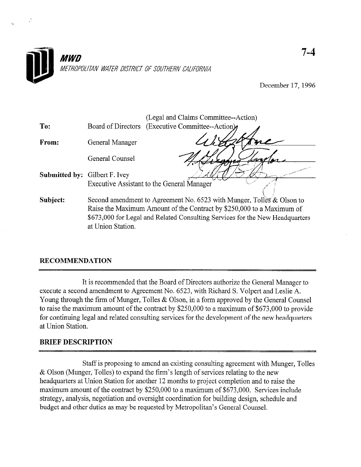

December 17, 1996

|                                      | (Legal and Claims Committee--Action)                                                                                                                                                                                           |  |  |
|--------------------------------------|--------------------------------------------------------------------------------------------------------------------------------------------------------------------------------------------------------------------------------|--|--|
| To:                                  | Board of Directors (Executive Committee--Action)                                                                                                                                                                               |  |  |
| From:                                | General Manager                                                                                                                                                                                                                |  |  |
|                                      | General Counsel                                                                                                                                                                                                                |  |  |
| <b>Submitted by:</b> Gilbert F. Ivey |                                                                                                                                                                                                                                |  |  |
|                                      | Executive Assistant to the General Manager                                                                                                                                                                                     |  |  |
| Subject:                             | Second amendment to Agreement No. 6523 with Munger, Tolles & Olson to<br>Raise the Maximum Amount of the Contract by \$250,000 to a Maximum of<br>\$673,000 for Legal and Related Consulting Services for the New Headquarters |  |  |
|                                      |                                                                                                                                                                                                                                |  |  |
|                                      |                                                                                                                                                                                                                                |  |  |
|                                      | at Union Station.                                                                                                                                                                                                              |  |  |
|                                      |                                                                                                                                                                                                                                |  |  |

# RECOMMENDATION

े

It is recommended that the Board of Directors authorize the General Manager to It is recommended that the Board of Directors admortize the General Manager execute a second amendment to Agreement No. 6523, with Richard S. Volpert and Leslie A. Young through the firm of Munger, Tolles  $&$  Olson, in a form approved by the General Counsel to raise the maximum amount of the contract by  $$250,000$  to a maximum of  $$673,000$  to provide for continuing legal and related consulting services for the development of the new headquarters at Union Station.

#### **BRIEF DESCRIPTION**

Staff is proposing to amend an existing consulting agreement with Munger, Tolles  $\&$  Olson (Munger, Tolles) to expand the firm's length of services relating to the new headquarters at Union Station for another 12 months to project completion and to raise the maximum amount of the contract by \$250,000 to a maximum of \$673,000. Services include strategy, analysis, negotiation and oversight coordination for building design, schedule and budget and other duties as may be requested by Metropolitan's General Counsel.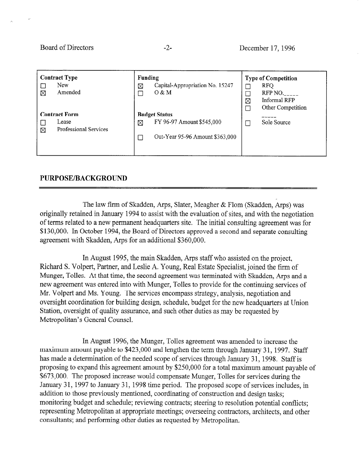| <b>Contract Type</b><br>New<br>Amended<br>⊠                 | Funding<br>Capital-Appropriation No. 15247<br>$\boxtimes$<br>O & M                             | <b>Type of Competition</b><br>RFQ.<br>RFP NO.<br>Informal RFP<br>⊠<br>Other Competition |
|-------------------------------------------------------------|------------------------------------------------------------------------------------------------|-----------------------------------------------------------------------------------------|
| <b>Contract Form</b><br>Lease<br>Professional Services<br>X | <b>Budget Status</b><br>FY 96-97 Amount \$545,000<br>⊠<br>Out-Year 95-96 Amount \$363,000<br>С | Sole Source                                                                             |

# PURPOSE/BACKGROUND

The law firm of Skadden, Arps, Slater, Meagher & Flom (Skadden, Arps) was originally retained in January 1994 to assist with the evaluation of sites, and with the negotiation of terms related to a new permanent headquarters site. The initial consulting agreement was for \$130,000. In October 1994, the Board of Directors approved a second and separate consulting agreement with Skadden, Arps for an additional \$360,000.

In August 1995, the main Skadden, Arps staff who assisted on the project, Richard S. Volpert, Partner, and Leslie A. Young, Real Estate Specialist, joined the firm of Munder S. Volpert, Tarther, and Lesne A. Toung, it each estate specialist, Johned the firm of Munger, Tolles. At that time, the second agreement was terminated with Skadden, Arps and a new agreement was entered into with Munger, Tolles to provide for the continuing services of Mr. Volpert and Ms. Young. The services encompass strategy, analysis, negotiation and oversight coordination for building design, schedule, budget for the new headquarters at Union Station, oversight of quality assurance, and such other duties as may be requested by Metropolitan's General Counsel.

In August 1996, the Munger, Tolles agreement was amended to increase the maximum amount payable to \$423,000 and lengthen the term through January 31, 1997. Staff has made a determination of the needed scope of services through January 31, 1998. Staff is proposing to expand this agreement amount by \$250,000 for a total maximum amount payable of \$673,000. The proposed increase would compensate Munger, Tolles for services during the January 31, 1997 to January 31, 1998 time period. The proposed scope of services includes, in addition to those previously mentioned, coordinating of construction and design tasks; monitoring budget and schedule; reviewing contracts; steering to resolution potential conflicts; representing Metropolitan at appropriate meetings; overseeing contractors, architects, and other consultants; and performing other duties as requested by Metropolitan.